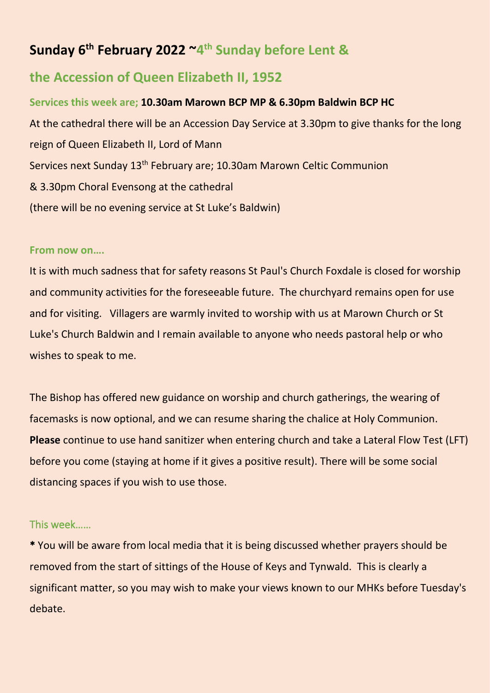# **Sunday 6 th February 2022 ~4 th Sunday before Lent &**

## **the Accession of Queen Elizabeth II, 1952**

**Services this week are; 10.30am Marown BCP MP & 6.30pm Baldwin BCP HC** At the cathedral there will be an Accession Day Service at 3.30pm to give thanks for the long reign of Queen Elizabeth II, Lord of Mann Services next Sunday 13<sup>th</sup> February are; 10.30am Marown Celtic Communion & 3.30pm Choral Evensong at the cathedral (there will be no evening service at St Luke's Baldwin)

#### **From now on….**

It is with much sadness that for safety reasons St Paul's Church Foxdale is closed for worship and community activities for the foreseeable future. The churchyard remains open for use and for visiting. Villagers are warmly invited to worship with us at Marown Church or St Luke's Church Baldwin and I remain available to anyone who needs pastoral help or who wishes to speak to me.

The Bishop has offered new guidance on worship and church gatherings, the wearing of facemasks is now optional, and we can resume sharing the chalice at Holy Communion. **Please** continue to use hand sanitizer when entering church and take a Lateral Flow Test (LFT) before you come (staying at home if it gives a positive result). There will be some social distancing spaces if you wish to use those.

### This week……

\* You will be aware from local media that it is being discussed whether prayers should be removed from the start of sittings of the House of Keys and Tynwald. This is clearly a significant matter, so you may wish to make your views known to our MHKs before Tuesday's debate.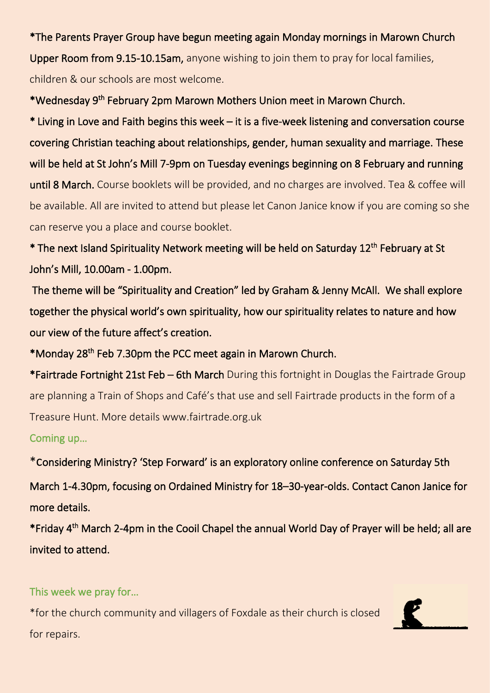\*The Parents Prayer Group have begun meeting again Monday mornings in Marown Church Upper Room from 9.15-10.15am, anyone wishing to join them to pray for local families, children & our schools are most welcome.

\*Wednesday 9<sup>th</sup> February 2pm Marown Mothers Union meet in Marown Church.

\* Living in Love and Faith begins this week – it is a five-week listening and conversation course covering Christian teaching about relationships, gender, human sexuality and marriage. These will be held at St John's Mill 7-9pm on Tuesday evenings beginning on 8 February and running until 8 March. Course booklets will be provided, and no charges are involved. Tea & coffee will be available. All are invited to attend but please let Canon Janice know if you are coming so she can reserve you a place and course booklet.

\* The next Island Spirituality Network meeting will be held on Saturday 12<sup>th</sup> February at St John's Mill, 10.00am - 1.00pm.

 The theme will be "Spirituality and Creation" led by Graham & Jenny McAll. We shall explore together the physical world's own spirituality, how our spirituality relates to nature and how our view of the future affect's creation.

\*Monday 28<sup>th</sup> Feb 7.30pm the PCC meet again in Marown Church.

\*Fairtrade Fortnight 21st Feb – 6th March During this fortnight in Douglas the Fairtrade Group are planning a Train of Shops and Café's that use and sell Fairtrade products in the form of a Treasure Hunt. More details www.fairtrade.org.uk

Coming up…

\*considering Ministry? 'Step Forward' is an exploratory online conference on Saturday 5th March 1-4.30pm, focusing on Ordained Ministry for 18–30-year-olds. Contact Canon Janice for

more details.

\*Friday 4<sup>th</sup> March 2-4pm in the Cooil Chapel the annual World Day of Prayer will be held; all are invited to attend.

This week we pray for…

\*for the church community and villagers of Foxdale as their church is closed for repairs.